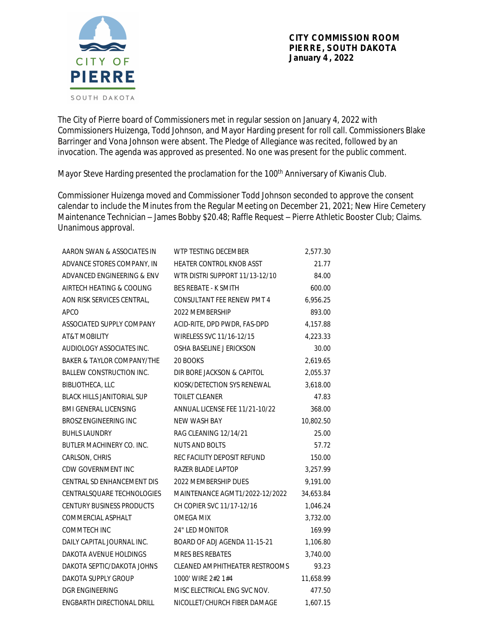The City of Pierre board of Commissioners met in regular session on January 4, 2022 with Commissioners Huizenga, Todd Johnson, and Mayor Harding present for roll call. Commissioners Blake Barringer and Vona Johnson were absent. The Pledge of Allegiance was recited, followed by an invocation. The agenda was approved as presented. No one was present for the public comment.

Mayor Steve Harding presented the proclamation for the 100<sup>th</sup> Anniversary of Kiwanis Club.

Commissioner Huizenga moved and Commissioner Todd Johnson seconded to approve the consent calendar to include the Minutes from the Regular Meeting on December 21, 2021; New Hire Cemetery Maintenance Technician – James Bobby \$20.48; Raffle Request – Pierre Athletic Booster Club; Claims. Unanimous approval.

| AARON SWAN & ASSOCIATES IN            | WTP TESTING DECEMBER              | 2,577.30  |
|---------------------------------------|-----------------------------------|-----------|
| ADVANCE STORES COMPANY, IN            | <b>HEATER CONTROL KNOB ASST</b>   | 21.77     |
| ADVANCED ENGINEERING & ENV            | WTR DISTRI SUPPORT 11/13-12/10    | 84.00     |
| AIRTECH HEATING & COOLING             | <b>BES REBATE - K SMITH</b>       | 600.00    |
| AON RISK SERVICES CENTRAL,            | <b>CONSULTANT FEE RENEW PMT 4</b> | 6,956.25  |
| APCO                                  | 2022 MEMBERSHIP                   | 893.00    |
| ASSOCIATED SUPPLY COMPANY             | ACID-RITE, DPD PWDR, FAS-DPD      | 4,157.88  |
| <b>AT&amp;T MOBILITY</b>              | WIRELESS SVC 11/16-12/15          | 4,223.33  |
| AUDIOLOGY ASSOCIATES INC.             | OSHA BASELINE J ERICKSON          | 30.00     |
| <b>BAKER &amp; TAYLOR COMPANY/THE</b> | 20 BOOKS                          | 2,619.65  |
| <b>BALLEW CONSTRUCTION INC.</b>       | DIR BORE JACKSON & CAPITOL        | 2,055.37  |
| <b>BIBLIOTHECA, LLC</b>               | KIOSK/DETECTION SYS RENEWAL       | 3,618.00  |
| <b>BLACK HILLS JANITORIAL SUP</b>     | <b>TOILET CLEANER</b>             | 47.83     |
| <b>BMI GENERAL LICENSING</b>          | ANNUAL LICENSE FEE 11/21-10/22    | 368.00    |
| BROSZ ENGINEERING INC                 | <b>NEW WASH BAY</b>               | 10,802.50 |
| <b>BUHLS LAUNDRY</b>                  | RAG CLEANING 12/14/21             | 25.00     |
| BUTLER MACHINERY CO. INC.             | <b>NUTS AND BOLTS</b>             | 57.72     |
| CARLSON, CHRIS                        | REC FACILITY DEPOSIT REFUND       | 150.00    |
| CDW GOVERNMENT INC                    | <b>RAZER BLADE LAPTOP</b>         | 3,257.99  |
| CENTRAL SD ENHANCEMENT DIS            | 2022 MEMBERSHIP DUES              | 9,191.00  |
| CENTRALSQUARE TECHNOLOGIES            | MAINTENANCE AGMT1/2022-12/2022    | 34,653.84 |
| <b>CENTURY BUSINESS PRODUCTS</b>      | CH COPIER SVC 11/17-12/16         | 1,046.24  |
| COMMERCIAL ASPHALT                    | <b>OMEGA MIX</b>                  | 3,732.00  |
| <b>COMMTECH INC</b>                   | 24" LED MONITOR                   | 169.99    |
| DAILY CAPITAL JOURNAL INC.            | BOARD OF ADJ AGENDA 11-15-21      | 1,106.80  |
| DAKOTA AVENUE HOLDINGS                | <b>MRES BES REBATES</b>           | 3,740.00  |
| DAKOTA SEPTIC/DAKOTA JOHNS            | CLEANED AMPHITHEATER RESTROOMS    | 93.23     |
| DAKOTA SUPPLY GROUP                   | 1000' WIRE 2#2 1#4                | 11,658.99 |
| DGR ENGINEERING                       | MISC ELECTRICAL ENG SVC NOV.      | 477.50    |
| ENGBARTH DIRECTIONAL DRILL            | NICOLLET/CHURCH FIBER DAMAGE      | 1.607.15  |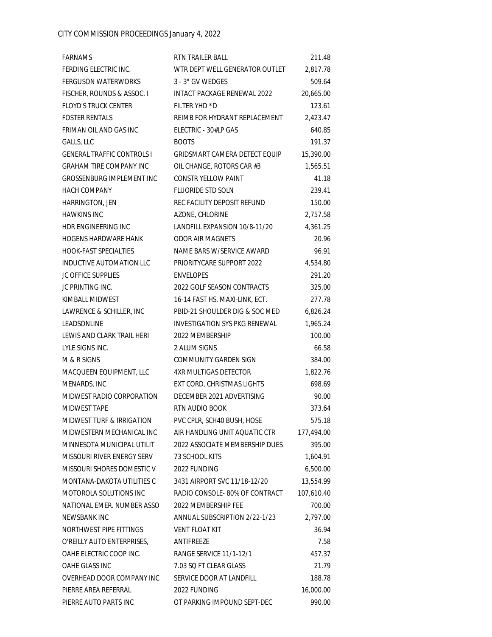| FARNAMS                              | RTN TRAILER BALL                     | 211.48     |
|--------------------------------------|--------------------------------------|------------|
| FERDING ELECTRIC INC.                | WTR DEPT WELL GENERATOR OUTLET       | 2,817.78   |
| <b>FERGUSON WATERWORKS</b>           | 3 - 3" GV WEDGES                     | 509.64     |
| FISCHER, ROUNDS & ASSOC. I           | <b>INTACT PACKAGE RENEWAL 2022</b>   | 20,665.00  |
| <b>FLOYD'S TRUCK CENTER</b>          | FILTER YHD *D                        | 123.61     |
| <b>FOSTER RENTALS</b>                | REIMB FOR HYDRANT REPLACEMENT        | 2,423.47   |
| FRIMAN OIL AND GAS INC               | ELECTRIC - 30#LP GAS                 | 640.85     |
| GALLS, LLC                           | <b>BOOTS</b>                         | 191.37     |
| <b>GENERAL TRAFFIC CONTROLS I</b>    | <b>GRIDSMART CAMERA DETECT EQUIP</b> | 15,390.00  |
| <b>GRAHAM TIRE COMPANY INC</b>       | OIL CHANGE, ROTORS CAR #3            | 1,565.51   |
| GROSSENBURG IMPLEMENT INC            | <b>CONSTR YELLOW PAINT</b>           | 41.18      |
| <b>HACH COMPANY</b>                  | <b>FLUORIDE STD SOLN</b>             | 239.41     |
| HARRINGTON, JEN                      | REC FACILITY DEPOSIT REFUND          | 150.00     |
| <b>HAWKINS INC</b>                   | AZONE, CHLORINE                      | 2,757.58   |
| HDR ENGINEERING INC                  | LANDFILL EXPANSION 10/8-11/20        | 4,361.25   |
| <b>HOGENS HARDWARE HANK</b>          | <b>ODOR AIR MAGNETS</b>              | 20.96      |
| <b>HOOK-FAST SPECIALTIES</b>         | NAME BARS W/SERVICE AWARD            | 96.91      |
| INDUCTIVE AUTOMATION LLC             | PRIORITYCARE SUPPORT 2022            | 4,534.80   |
| <b>JC OFFICE SUPPLIES</b>            | <b>ENVELOPES</b>                     | 291.20     |
| JC PRINTING INC.                     | 2022 GOLF SEASON CONTRACTS           | 325.00     |
| KIMBALL MIDWEST                      | 16-14 FAST HS, MAXI-LINK, ECT.       | 277.78     |
| LAWRENCE & SCHILLER, INC             | PBID-21 SHOULDER DIG & SOC MED       | 6,826.24   |
| LEADSONLINE                          | <b>INVESTIGATION SYS PKG RENEWAL</b> | 1,965.24   |
| LEWIS AND CLARK TRAIL HERI           | 2022 MEMBERSHIP                      | 100.00     |
| LYLE SIGNS INC.                      | 2 ALUM SIGNS                         | 66.58      |
| M & R SIGNS                          | COMMUNITY GARDEN SIGN                | 384.00     |
| MACQUEEN EQUIPMENT, LLC              | 4XR MULTIGAS DETECTOR                | 1,822.76   |
| MENARDS, INC                         | EXT CORD, CHRISTMAS LIGHTS           | 698.69     |
| MIDWEST RADIO CORPORATION            | DECEMBER 2021 ADVERTISING            | 90.00      |
| MIDWEST TAPE                         | RTN AUDIO BOOK                       | 373.64     |
| <b>MIDWEST TURF &amp; IRRIGATION</b> | PVC CPLR, SCH40 BUSH, HOSE           | 575.18     |
| MIDWESTERN MECHANICAL INC            | AIR HANDLING UNIT AQUATIC CTR        | 177,494.00 |
| MINNESOTA MUNICIPAL UTILIT           | 2022 ASSOCIATE MEMBERSHIP DUES       | 395.00     |
| MISSOURI RIVER ENERGY SERV           | 73 SCHOOL KITS                       | 1,604.91   |
| MISSOURI SHORES DOMESTIC V           | 2022 FUNDING                         | 6,500.00   |
| MONTANA-DAKOTA UTILITIES C           | 3431 AIRPORT SVC 11/18-12/20         | 13,554.99  |
| MOTOROLA SOLUTIONS INC               | RADIO CONSOLE-80% OF CONTRACT        | 107,610.40 |
| NATIONAL EMER. NUMBER ASSO           | 2022 MEMBERSHIP FEE                  | 700.00     |
| NEWSBANK INC                         | ANNUAL SUBSCRIPTION 2/22-1/23        | 2,797.00   |
| NORTHWEST PIPE FITTINGS              | <b>VENT FLOAT KIT</b>                | 36.94      |
| O'REILLY AUTO ENTERPRISES,           | ANTIFREEZE                           | 7.58       |
| OAHE ELECTRIC COOP INC.              | RANGE SERVICE 11/1-12/1              | 457.37     |
| OAHE GLASS INC                       | 7.03 SQ FT CLEAR GLASS               | 21.79      |
| OVERHEAD DOOR COMPANY INC            | SERVICE DOOR AT LANDFILL             | 188.78     |
| PIERRE AREA REFERRAL                 | 2022 FUNDING                         | 16,000.00  |
| PIERRE AUTO PARTS INC                | OT PARKING IMPOUND SEPT-DEC          | 990.00     |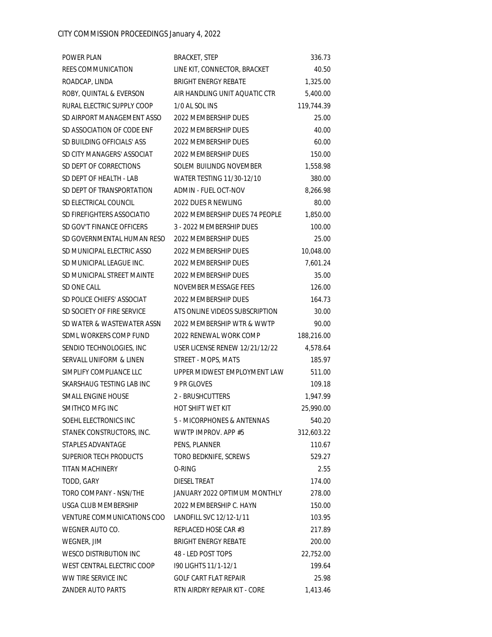| POWER PLAN                    | <b>BRACKET, STEP</b>           | 336.73     |
|-------------------------------|--------------------------------|------------|
| REES COMMUNICATION            | LINE KIT, CONNECTOR, BRACKET   | 40.50      |
| ROADCAP, LINDA                | <b>BRIGHT ENERGY REBATE</b>    | 1,325.00   |
| ROBY, QUINTAL & EVERSON       | AIR HANDLING UNIT AQUATIC CTR  | 5,400.00   |
| RURAL ELECTRIC SUPPLY COOP    | 1/0 AL SOL INS                 | 119,744.39 |
| SD AIRPORT MANAGEMENT ASSO    | 2022 MEMBERSHIP DUES           | 25.00      |
| SD ASSOCIATION OF CODE ENF    | 2022 MEMBERSHIP DUES           | 40.00      |
| SD BUILDING OFFICIALS' ASS    | 2022 MEMBERSHIP DUES           | 60.00      |
| SD CITY MANAGERS' ASSOCIAT    | 2022 MEMBERSHIP DUES           | 150.00     |
| SD DEPT OF CORRECTIONS        | SOLEM BUILINDG NOVEMBER        | 1,558.98   |
| SD DEPT OF HEALTH - LAB       | WATER TESTING 11/30-12/10      | 380.00     |
| SD DEPT OF TRANSPORTATION     | <b>ADMIN - FUEL OCT-NOV</b>    | 8,266.98   |
| SD ELECTRICAL COUNCIL         | 2022 DUES R NEWLING            | 80.00      |
| SD FIREFIGHTERS ASSOCIATIO    | 2022 MEMBERSHIP DUES 74 PEOPLE | 1,850.00   |
| SD GOV'T FINANCE OFFICERS     | 3 - 2022 MEMBERSHIP DUES       | 100.00     |
| SD GOVERNMENTAL HUMAN RESO    | 2022 MEMBERSHIP DUES           | 25.00      |
| SD MUNICIPAL ELECTRIC ASSO    | 2022 MEMBERSHIP DUES           | 10,048.00  |
| SD MUNICIPAL LEAGUE INC.      | 2022 MEMBERSHIP DUES           | 7,601.24   |
| SD MUNICIPAL STREET MAINTE    | 2022 MEMBERSHIP DUES           | 35.00      |
| SD ONE CALL                   | NOVEMBER MESSAGE FEES          | 126.00     |
| SD POLICE CHIEFS' ASSOCIAT    | 2022 MEMBERSHIP DUES           | 164.73     |
| SD SOCIETY OF FIRE SERVICE    | ATS ONLINE VIDEOS SUBSCRIPTION | 30.00      |
| SD WATER & WASTEWATER ASSN    | 2022 MEMBERSHIP WTR & WWTP     | 90.00      |
| SDML WORKERS COMP FUND        | 2022 RENEWAL WORK COMP         | 188,216.00 |
| SENDIO TECHNOLOGIES, INC      | USER LICENSE RENEW 12/21/12/22 | 4,578.64   |
| SERVALL UNIFORM & LINEN       | STREET - MOPS, MATS            | 185.97     |
| SIMPLIFY COMPLIANCE LLC       | UPPER MIDWEST EMPLOYMENT LAW   | 511.00     |
| SKARSHAUG TESTING LAB INC     | 9 PR GLOVES                    | 109.18     |
| SMALL ENGINE HOUSE            | 2 - BRUSHCUTTERS               | 1,947.99   |
| SMITHCO MFG INC               | <b>HOT SHIFT WET KIT</b>       | 25,990.00  |
| SOEHL ELECTRONICS INC         | 5 - MICORPHONES & ANTENNAS     | 540.20     |
| STANEK CONSTRUCTORS, INC.     | WWTP IMPROV. APP #5            | 312,603.22 |
| STAPLES ADVANTAGE             | PENS, PLANNER                  | 110.67     |
| SUPERIOR TECH PRODUCTS        | TORO BEDKNIFE, SCREWS          | 529.27     |
| <b>TITAN MACHINERY</b>        | O-RING                         | 2.55       |
| TODD, GARY                    | <b>DIESEL TREAT</b>            | 174.00     |
| TORO COMPANY - NSN/THE        | JANUARY 2022 OPTIMUM MONTHLY   | 278.00     |
| USGA CLUB MEMBERSHIP          | 2022 MEMBERSHIP C. HAYN        | 150.00     |
| VENTURE COMMUNICATIONS COO    | LANDFILL SVC 12/12-1/11        | 103.95     |
| WEGNER AUTO CO.               | REPLACED HOSE CAR #3           | 217.89     |
| WEGNER, JIM                   | <b>BRIGHT ENERGY REBATE</b>    | 200.00     |
| <b>WESCO DISTRIBUTION INC</b> | 48 - LED POST TOPS             | 22,752.00  |
| WEST CENTRAL ELECTRIC COOP    | 190 LIGHTS 11/1-12/1           | 199.64     |
| WW TIRE SERVICE INC           | <b>GOLF CART FLAT REPAIR</b>   | 25.98      |
| ZANDER AUTO PARTS             | RTN AIRDRY REPAIR KIT - CORE   | 1,413.46   |